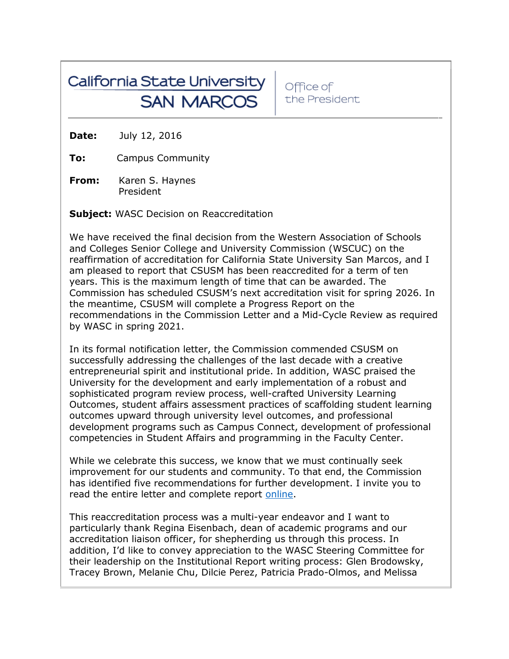## California State University **SAN MARCOS**

Office of the President

**Date:** July 12, 2016

**To:** Campus Community

**From:** Karen S. Haynes President

**Subject:** WASC Decision on Reaccreditation

We have received the final decision from the Western Association of Schools and Colleges Senior College and University Commission (WSCUC) on the reaffirmation of accreditation for California State University San Marcos, and I am pleased to report that CSUSM has been reaccredited for a term of ten years. This is the maximum length of time that can be awarded. The Commission has scheduled CSUSM's next accreditation visit for spring 2026. In the meantime, CSUSM will complete a Progress Report on the recommendations in the Commission Letter and a Mid-Cycle Review as required by WASC in spring 2021.

In its formal notification letter, the Commission commended CSUSM on successfully addressing the challenges of the last decade with a creative entrepreneurial spirit and institutional pride. In addition, WASC praised the University for the development and early implementation of a robust and sophisticated program review process, well-crafted University Learning Outcomes, student affairs assessment practices of scaffolding student learning outcomes upward through university level outcomes, and professional development programs such as Campus Connect, development of professional competencies in Student Affairs and programming in the Faculty Center.

While we celebrate this success, we know that we must continually seek improvement for our students and community. To that end, the Commission has identified five recommendations for further development. I invite you to read the entire letter and complete report [online.](http://csusm.edu/wasc/latest_news.html)

This reaccreditation process was a multi-year endeavor and I want to particularly thank Regina Eisenbach, dean of academic programs and our accreditation liaison officer, for shepherding us through this process. In addition, I'd like to convey appreciation to the WASC Steering Committee for their leadership on the Institutional Report writing process: Glen Brodowsky, Tracey Brown, Melanie Chu, Dilcie Perez, Patricia Prado-Olmos, and Melissa